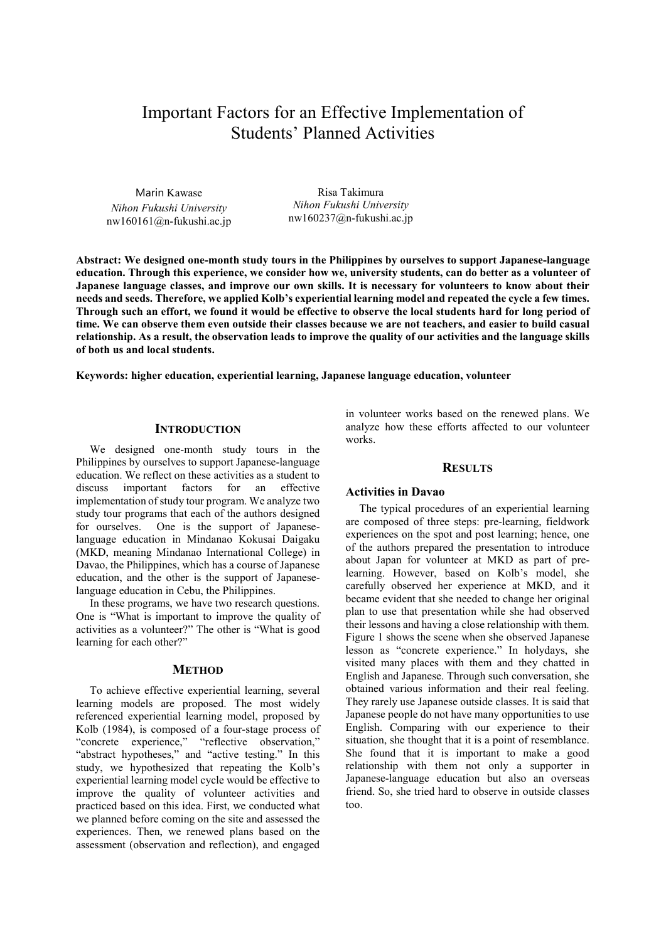# Important Factors for an Effective Implementation of Students' Planned Activities

Marin Kawase *Nihon Fukushi University* nw160161@n-fukushi.ac.jp

Risa Takimura *Nihon Fukushi University* nw160237@n-fukushi.ac.jp

**Abstract: We designed one-month study tours in the Philippines by ourselves to support Japanese-language education. Through this experience, we consider how we, university students, can do better as a volunteer of Japanese language classes, and improve our own skills. It is necessary for volunteers to know about their needs and seeds. Therefore, we applied Kolb's experiential learning model and repeated the cycle a few times. Through such an effort, we found it would be effective to observe the local students hard for long period of time. We can observe them even outside their classes because we are not teachers, and easier to build casual relationship. As a result, the observation leads to improve the quality of our activities and the language skills of both us and local students.** 

**Keywords: higher education, experiential learning, Japanese language education, volunteer** 

# **INTRODUCTION**

We designed one-month study tours in the Philippines by ourselves to support Japanese-language education. We reflect on these activities as a student to discuss important factors for an effective implementation of study tour program. We analyze two study tour programs that each of the authors designed for ourselves. One is the support of Japaneselanguage education in Mindanao Kokusai Daigaku (MKD, meaning Mindanao International College) in Davao, the Philippines, which has a course of Japanese education, and the other is the support of Japaneselanguage education in Cebu, the Philippines.

In these programs, we have two research questions. One is "What is important to improve the quality of activities as a volunteer?" The other is "What is good learning for each other?"

### **METHOD**

To achieve effective experiential learning, several learning models are proposed. The most widely referenced experiential learning model, proposed by Kolb (1984), is composed of a four-stage process of "concrete experience," "reflective observation," "abstract hypotheses," and "active testing." In this study, we hypothesized that repeating the Kolb's experiential learning model cycle would be effective to improve the quality of volunteer activities and practiced based on this idea. First, we conducted what we planned before coming on the site and assessed the experiences. Then, we renewed plans based on the assessment (observation and reflection), and engaged in volunteer works based on the renewed plans. We analyze how these efforts affected to our volunteer works.

#### **RESULTS**

#### **Activities in Davao**

The typical procedures of an experiential learning are composed of three steps: pre-learning, fieldwork experiences on the spot and post learning; hence, one of the authors prepared the presentation to introduce about Japan for volunteer at MKD as part of prelearning. However, based on Kolb's model, she carefully observed her experience at MKD, and it became evident that she needed to change her original plan to use that presentation while she had observed their lessons and having a close relationship with them. Figure 1 shows the scene when she observed Japanese lesson as "concrete experience." In holydays, she visited many places with them and they chatted in English and Japanese. Through such conversation, she obtained various information and their real feeling. They rarely use Japanese outside classes. It is said that Japanese people do not have many opportunities to use English. Comparing with our experience to their situation, she thought that it is a point of resemblance. She found that it is important to make a good relationship with them not only a supporter in Japanese-language education but also an overseas friend. So, she tried hard to observe in outside classes too.